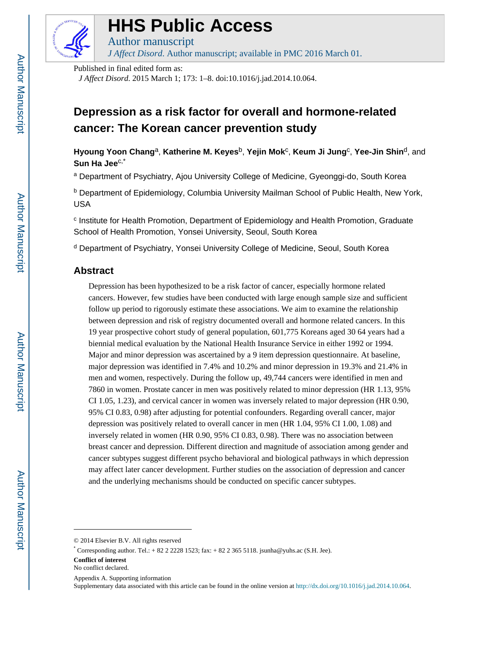

# **HHS Public Access**

Author manuscript *J Affect Disord*. Author manuscript; available in PMC 2016 March 01.

Published in final edited form as:

*J Affect Disord*. 2015 March 1; 173: 1–8. doi:10.1016/j.jad.2014.10.064.

# **Depression as a risk factor for overall and hormone-related cancer: The Korean cancer prevention study**

**Hyoung Yoon Chang<sup>a</sup>, Katherine M. Keyes<sup>b</sup>, Yejin Mok<sup>c</sup>, Keum Ji Jung<sup>c</sup>, Yee-Jin Shin<sup>d</sup>, and Sun Ha Jee**c,\*

<sup>a</sup> Department of Psychiatry, Ajou University College of Medicine, Gyeonggi-do, South Korea

<sup>b</sup> Department of Epidemiology, Columbia University Mailman School of Public Health, New York, USA

c Institute for Health Promotion, Department of Epidemiology and Health Promotion, Graduate School of Health Promotion, Yonsei University, Seoul, South Korea

<sup>d</sup> Department of Psychiatry, Yonsei University College of Medicine, Seoul, South Korea

# **Abstract**

Depression has been hypothesized to be a risk factor of cancer, especially hormone related cancers. However, few studies have been conducted with large enough sample size and sufficient follow up period to rigorously estimate these associations. We aim to examine the relationship between depression and risk of registry documented overall and hormone related cancers. In this 19 year prospective cohort study of general population, 601,775 Koreans aged 30 64 years had a biennial medical evaluation by the National Health Insurance Service in either 1992 or 1994. Major and minor depression was ascertained by a 9 item depression questionnaire. At baseline, major depression was identified in 7.4% and 10.2% and minor depression in 19.3% and 21.4% in men and women, respectively. During the follow up, 49,744 cancers were identified in men and 7860 in women. Prostate cancer in men was positively related to minor depression (HR 1.13, 95% CI 1.05, 1.23), and cervical cancer in women was inversely related to major depression (HR 0.90, 95% CI 0.83, 0.98) after adjusting for potential confounders. Regarding overall cancer, major depression was positively related to overall cancer in men (HR 1.04, 95% CI 1.00, 1.08) and inversely related in women (HR 0.90, 95% CI 0.83, 0.98). There was no association between breast cancer and depression. Different direction and magnitude of association among gender and cancer subtypes suggest different psycho behavioral and biological pathways in which depression may affect later cancer development. Further studies on the association of depression and cancer and the underlying mechanisms should be conducted on specific cancer subtypes.

**Conflict of interest**

<sup>© 2014</sup> Elsevier B.V. All rights reserved

Corresponding author. Tel.:  $+ 82 2 2228 1523$ ; fax:  $+ 82 2 365 5118$ . jsunha@yuhs.ac (S.H. Jee).

No conflict declared.

Appendix A. Supporting information

Supplementary data associated with this article can be found in the online version at [http://dx.doi.org/10.1016/j.jad.2014.10.064.](http://dx.doi.org/10.1016/j.jad.2014.10.064)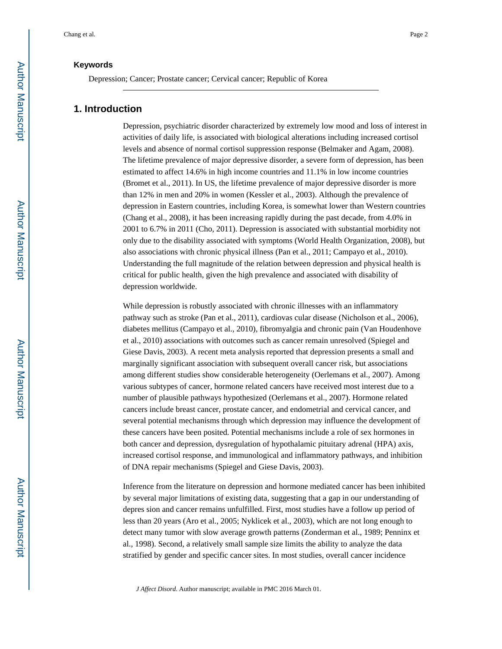# **Keywords**

Depression; Cancer; Prostate cancer; Cervical cancer; Republic of Korea

# **1. Introduction**

Depression, psychiatric disorder characterized by extremely low mood and loss of interest in activities of daily life, is associated with biological alterations including increased cortisol levels and absence of normal cortisol suppression response (Belmaker and Agam, 2008). The lifetime prevalence of major depressive disorder, a severe form of depression, has been estimated to affect 14.6% in high income countries and 11.1% in low income countries (Bromet et al., 2011). In US, the lifetime prevalence of major depressive disorder is more than 12% in men and 20% in women (Kessler et al., 2003). Although the prevalence of depression in Eastern countries, including Korea, is somewhat lower than Western countries (Chang et al., 2008), it has been increasing rapidly during the past decade, from 4.0% in 2001 to 6.7% in 2011 (Cho, 2011). Depression is associated with substantial morbidity not only due to the disability associated with symptoms (World Health Organization, 2008), but also associations with chronic physical illness (Pan et al., 2011; Campayo et al., 2010). Understanding the full magnitude of the relation between depression and physical health is critical for public health, given the high prevalence and associated with disability of depression worldwide.

While depression is robustly associated with chronic illnesses with an inflammatory pathway such as stroke (Pan et al., 2011), cardiovas cular disease (Nicholson et al., 2006), diabetes mellitus (Campayo et al., 2010), fibromyalgia and chronic pain (Van Houdenhove et al., 2010) associations with outcomes such as cancer remain unresolved (Spiegel and Giese Davis, 2003). A recent meta analysis reported that depression presents a small and marginally significant association with subsequent overall cancer risk, but associations among different studies show considerable heterogeneity (Oerlemans et al., 2007). Among various subtypes of cancer, hormone related cancers have received most interest due to a number of plausible pathways hypothesized (Oerlemans et al., 2007). Hormone related cancers include breast cancer, prostate cancer, and endometrial and cervical cancer, and several potential mechanisms through which depression may influence the development of these cancers have been posited. Potential mechanisms include a role of sex hormones in both cancer and depression, dysregulation of hypothalamic pituitary adrenal (HPA) axis, increased cortisol response, and immunological and inflammatory pathways, and inhibition of DNA repair mechanisms (Spiegel and Giese Davis, 2003).

Inference from the literature on depression and hormone mediated cancer has been inhibited by several major limitations of existing data, suggesting that a gap in our understanding of depres sion and cancer remains unfulfilled. First, most studies have a follow up period of less than 20 years (Aro et al., 2005; Nyklicek et al., 2003), which are not long enough to detect many tumor with slow average growth patterns (Zonderman et al., 1989; Penninx et al., 1998). Second, a relatively small sample size limits the ability to analyze the data stratified by gender and specific cancer sites. In most studies, overall cancer incidence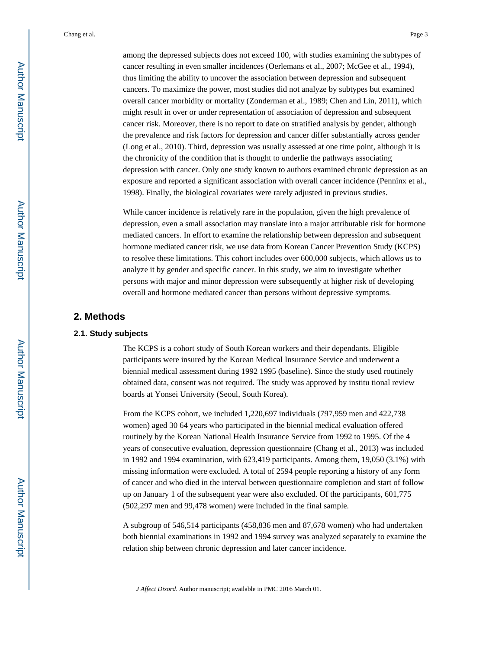among the depressed subjects does not exceed 100, with studies examining the subtypes of cancer resulting in even smaller incidences (Oerlemans et al., 2007; McGee et al., 1994), thus limiting the ability to uncover the association between depression and subsequent cancers. To maximize the power, most studies did not analyze by subtypes but examined overall cancer morbidity or mortality (Zonderman et al., 1989; Chen and Lin, 2011), which might result in over or under representation of association of depression and subsequent cancer risk. Moreover, there is no report to date on stratified analysis by gender, although the prevalence and risk factors for depression and cancer differ substantially across gender (Long et al., 2010). Third, depression was usually assessed at one time point, although it is the chronicity of the condition that is thought to underlie the pathways associating depression with cancer. Only one study known to authors examined chronic depression as an exposure and reported a significant association with overall cancer incidence (Penninx et al., 1998). Finally, the biological covariates were rarely adjusted in previous studies.

While cancer incidence is relatively rare in the population, given the high prevalence of depression, even a small association may translate into a major attributable risk for hormone mediated cancers. In effort to examine the relationship between depression and subsequent hormone mediated cancer risk, we use data from Korean Cancer Prevention Study (KCPS) to resolve these limitations. This cohort includes over 600,000 subjects, which allows us to analyze it by gender and specific cancer. In this study, we aim to investigate whether persons with major and minor depression were subsequently at higher risk of developing overall and hormone mediated cancer than persons without depressive symptoms.

# **2. Methods**

## **2.1. Study subjects**

The KCPS is a cohort study of South Korean workers and their dependants. Eligible participants were insured by the Korean Medical Insurance Service and underwent a biennial medical assessment during 1992 1995 (baseline). Since the study used routinely obtained data, consent was not required. The study was approved by institu tional review boards at Yonsei University (Seoul, South Korea).

From the KCPS cohort, we included 1,220,697 individuals (797,959 men and 422,738 women) aged 30 64 years who participated in the biennial medical evaluation offered routinely by the Korean National Health Insurance Service from 1992 to 1995. Of the 4 years of consecutive evaluation, depression questionnaire (Chang et al., 2013) was included in 1992 and 1994 examination, with 623,419 participants. Among them, 19,050 (3.1%) with missing information were excluded. A total of 2594 people reporting a history of any form of cancer and who died in the interval between questionnaire completion and start of follow up on January 1 of the subsequent year were also excluded. Of the participants, 601,775 (502,297 men and 99,478 women) were included in the final sample.

A subgroup of 546,514 participants (458,836 men and 87,678 women) who had undertaken both biennial examinations in 1992 and 1994 survey was analyzed separately to examine the relation ship between chronic depression and later cancer incidence.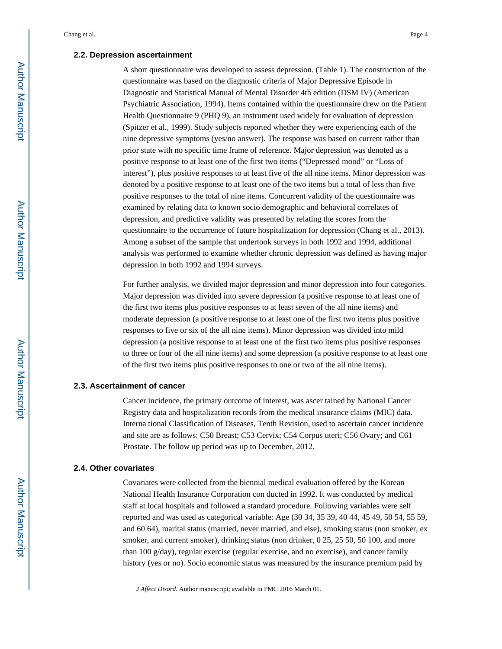#### **2.2. Depression ascertainment**

A short questionnaire was developed to assess depression. (Table 1). The construction of the questionnaire was based on the diagnostic criteria of Major Depressive Episode in Diagnostic and Statistical Manual of Mental Disorder 4th edition (DSM IV) (American Psychiatric Association, 1994). Items contained within the questionnaire drew on the Patient Health Questionnaire 9 (PHQ 9), an instrument used widely for evaluation of depression (Spitzer et al., 1999). Study subjects reported whether they were experiencing each of the nine depressive symptoms (yes/no answer). The response was based on current rather than prior state with no specific time frame of reference. Major depression was denoted as a positive response to at least one of the first two items ("Depressed mood" or "Loss of interest"), plus positive responses to at least five of the all nine items. Minor depression was denoted by a positive response to at least one of the two items but a total of less than five positive responses to the total of nine items. Concurrent validity of the questionnaire was examined by relating data to known socio demographic and behavioral correlates of depression, and predictive validity was presented by relating the scores from the questionnaire to the occurrence of future hospitalization for depression (Chang et al., 2013). Among a subset of the sample that undertook surveys in both 1992 and 1994, additional analysis was performed to examine whether chronic depression was defined as having major depression in both 1992 and 1994 surveys.

For further analysis, we divided major depression and minor depression into four categories. Major depression was divided into severe depression (a positive response to at least one of the first two items plus positive responses to at least seven of the all nine items) and moderate depression (a positive response to at least one of the first two items plus positive responses to five or six of the all nine items). Minor depression was divided into mild depression (a positive response to at least one of the first two items plus positive responses to three or four of the all nine items) and some depression (a positive response to at least one of the first two items plus positive responses to one or two of the all nine items).

#### **2.3. Ascertainment of cancer**

Cancer incidence, the primary outcome of interest, was ascer tained by National Cancer Registry data and hospitalization records from the medical insurance claims (MIC) data. Interna tional Classification of Diseases, Tenth Revision, used to ascertain cancer incidence and site are as follows: C50 Breast; C53 Cervix; C54 Corpus uteri; C56 Ovary; and C61 Prostate. The follow up period was up to December, 2012.

#### **2.4. Other covariates**

Covariates were collected from the biennial medical evaluation offered by the Korean National Health Insurance Corporation con ducted in 1992. It was conducted by medical staff at local hospitals and followed a standard procedure. Following variables were self reported and was used as categorical variable: Age (30 34, 35 39, 40 44, 45 49, 50 54, 55 59, and 60 64), marital status (married, never married, and else), smoking status (non smoker, ex smoker, and current smoker), drinking status (non drinker, 0 25, 25 50, 50 100, and more than 100 g/day), regular exercise (regular exercise, and no exercise), and cancer family history (yes or no). Socio economic status was measured by the insurance premium paid by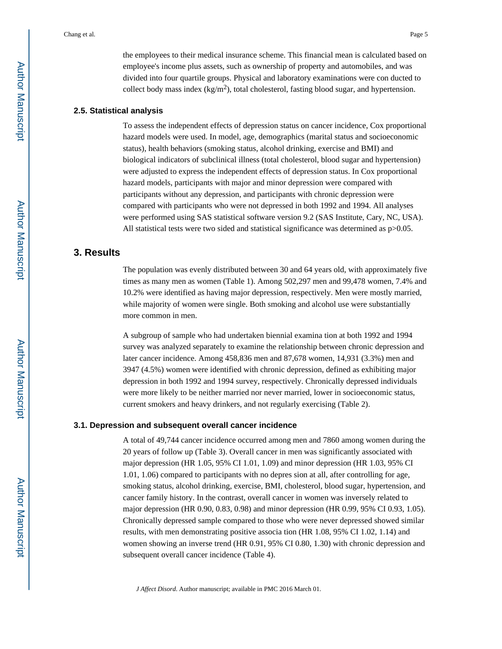the employees to their medical insurance scheme. This financial mean is calculated based on employee's income plus assets, such as ownership of property and automobiles, and was divided into four quartile groups. Physical and laboratory examinations were con ducted to collect body mass index  $(kg/m^2)$ , total cholesterol, fasting blood sugar, and hypertension.

# **2.5. Statistical analysis**

To assess the independent effects of depression status on cancer incidence, Cox proportional hazard models were used. In model, age, demographics (marital status and socioeconomic status), health behaviors (smoking status, alcohol drinking, exercise and BMI) and biological indicators of subclinical illness (total cholesterol, blood sugar and hypertension) were adjusted to express the independent effects of depression status. In Cox proportional hazard models, participants with major and minor depression were compared with participants without any depression, and participants with chronic depression were compared with participants who were not depressed in both 1992 and 1994. All analyses were performed using SAS statistical software version 9.2 (SAS Institute, Cary, NC, USA). All statistical tests were two sided and statistical significance was determined as  $p > 0.05$ .

# **3. Results**

The population was evenly distributed between 30 and 64 years old, with approximately five times as many men as women (Table 1). Among 502,297 men and 99,478 women, 7.4% and 10.2% were identified as having major depression, respectively. Men were mostly married, while majority of women were single. Both smoking and alcohol use were substantially more common in men.

A subgroup of sample who had undertaken biennial examina tion at both 1992 and 1994 survey was analyzed separately to examine the relationship between chronic depression and later cancer incidence. Among 458,836 men and 87,678 women, 14,931 (3.3%) men and 3947 (4.5%) women were identified with chronic depression, defined as exhibiting major depression in both 1992 and 1994 survey, respectively. Chronically depressed individuals were more likely to be neither married nor never married, lower in socioeconomic status, current smokers and heavy drinkers, and not regularly exercising (Table 2).

#### **3.1. Depression and subsequent overall cancer incidence**

A total of 49,744 cancer incidence occurred among men and 7860 among women during the 20 years of follow up (Table 3). Overall cancer in men was significantly associated with major depression (HR 1.05, 95% CI 1.01, 1.09) and minor depression (HR 1.03, 95% CI 1.01, 1.06) compared to participants with no depres sion at all, after controlling for age, smoking status, alcohol drinking, exercise, BMI, cholesterol, blood sugar, hypertension, and cancer family history. In the contrast, overall cancer in women was inversely related to major depression (HR 0.90, 0.83, 0.98) and minor depression (HR 0.99, 95% CI 0.93, 1.05). Chronically depressed sample compared to those who were never depressed showed similar results, with men demonstrating positive associa tion (HR 1.08, 95% CI 1.02, 1.14) and women showing an inverse trend (HR 0.91, 95% CI 0.80, 1.30) with chronic depression and subsequent overall cancer incidence (Table 4).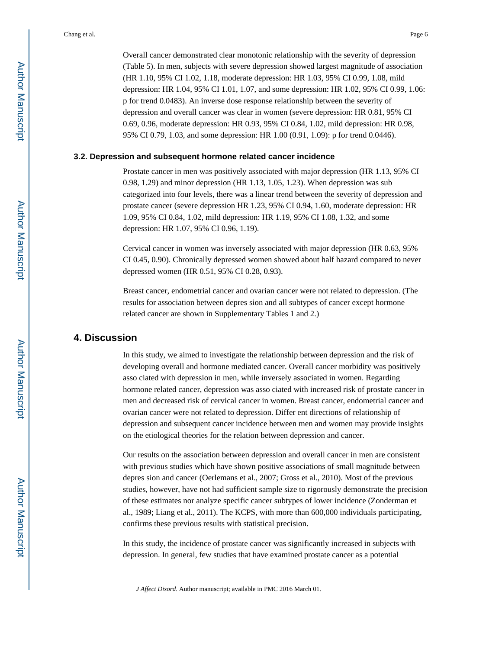Overall cancer demonstrated clear monotonic relationship with the severity of depression (Table 5). In men, subjects with severe depression showed largest magnitude of association (HR 1.10, 95% CI 1.02, 1.18, moderate depression: HR 1.03, 95% CI 0.99, 1.08, mild depression: HR 1.04, 95% CI 1.01, 1.07, and some depression: HR 1.02, 95% CI 0.99, 1.06: p for trend 0.0483). An inverse dose response relationship between the severity of depression and overall cancer was clear in women (severe depression: HR 0.81, 95% CI 0.69, 0.96, moderate depression: HR 0.93, 95% CI 0.84, 1.02, mild depression: HR 0.98, 95% CI 0.79, 1.03, and some depression: HR 1.00 (0.91, 1.09): p for trend 0.0446).

#### **3.2. Depression and subsequent hormone related cancer incidence**

Prostate cancer in men was positively associated with major depression (HR 1.13, 95% CI 0.98, 1.29) and minor depression (HR 1.13, 1.05, 1.23). When depression was sub categorized into four levels, there was a linear trend between the severity of depression and prostate cancer (severe depression HR 1.23, 95% CI 0.94, 1.60, moderate depression: HR 1.09, 95% CI 0.84, 1.02, mild depression: HR 1.19, 95% CI 1.08, 1.32, and some depression: HR 1.07, 95% CI 0.96, 1.19).

Cervical cancer in women was inversely associated with major depression (HR 0.63, 95% CI 0.45, 0.90). Chronically depressed women showed about half hazard compared to never depressed women (HR 0.51, 95% CI 0.28, 0.93).

Breast cancer, endometrial cancer and ovarian cancer were not related to depression. (The results for association between depres sion and all subtypes of cancer except hormone related cancer are shown in Supplementary Tables 1 and 2.)

# **4. Discussion**

In this study, we aimed to investigate the relationship between depression and the risk of developing overall and hormone mediated cancer. Overall cancer morbidity was positively asso ciated with depression in men, while inversely associated in women. Regarding hormone related cancer, depression was asso ciated with increased risk of prostate cancer in men and decreased risk of cervical cancer in women. Breast cancer, endometrial cancer and ovarian cancer were not related to depression. Differ ent directions of relationship of depression and subsequent cancer incidence between men and women may provide insights on the etiological theories for the relation between depression and cancer.

Our results on the association between depression and overall cancer in men are consistent with previous studies which have shown positive associations of small magnitude between depres sion and cancer (Oerlemans et al., 2007; Gross et al., 2010). Most of the previous studies, however, have not had sufficient sample size to rigorously demonstrate the precision of these estimates nor analyze specific cancer subtypes of lower incidence (Zonderman et al., 1989; Liang et al., 2011). The KCPS, with more than 600,000 individuals participating, confirms these previous results with statistical precision.

In this study, the incidence of prostate cancer was significantly increased in subjects with depression. In general, few studies that have examined prostate cancer as a potential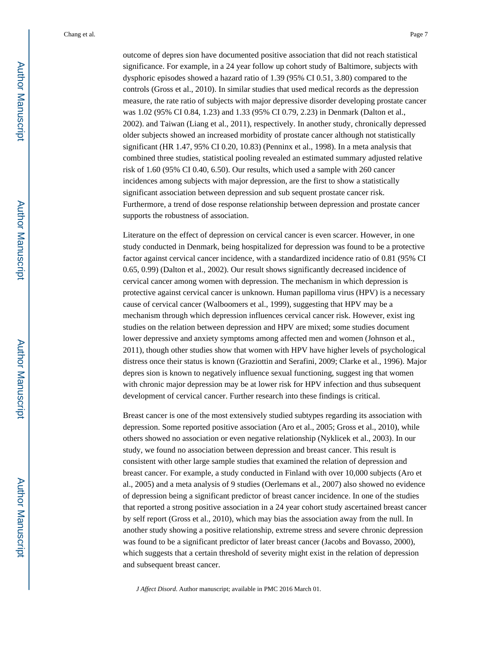outcome of depres sion have documented positive association that did not reach statistical significance. For example, in a 24 year follow up cohort study of Baltimore, subjects with dysphoric episodes showed a hazard ratio of 1.39 (95% CI 0.51, 3.80) compared to the controls (Gross et al., 2010). In similar studies that used medical records as the depression measure, the rate ratio of subjects with major depressive disorder developing prostate cancer was 1.02 (95% CI 0.84, 1.23) and 1.33 (95% CI 0.79, 2.23) in Denmark (Dalton et al., 2002). and Taiwan (Liang et al., 2011), respectively. In another study, chronically depressed older subjects showed an increased morbidity of prostate cancer although not statistically significant (HR 1.47, 95% CI 0.20, 10.83) (Penninx et al., 1998). In a meta analysis that combined three studies, statistical pooling revealed an estimated summary adjusted relative risk of 1.60 (95% CI 0.40, 6.50). Our results, which used a sample with 260 cancer incidences among subjects with major depression, are the first to show a statistically significant association between depression and sub sequent prostate cancer risk. Furthermore, a trend of dose response relationship between depression and prostate cancer supports the robustness of association.

Literature on the effect of depression on cervical cancer is even scarcer. However, in one study conducted in Denmark, being hospitalized for depression was found to be a protective factor against cervical cancer incidence, with a standardized incidence ratio of 0.81 (95% CI 0.65, 0.99) (Dalton et al., 2002). Our result shows significantly decreased incidence of cervical cancer among women with depression. The mechanism in which depression is protective against cervical cancer is unknown. Human papilloma virus (HPV) is a necessary cause of cervical cancer (Walboomers et al., 1999), suggesting that HPV may be a mechanism through which depression influences cervical cancer risk. However, exist ing studies on the relation between depression and HPV are mixed; some studies document lower depressive and anxiety symptoms among affected men and women (Johnson et al., 2011), though other studies show that women with HPV have higher levels of psychological distress once their status is known (Graziottin and Serafini, 2009; Clarke et al., 1996). Major depres sion is known to negatively influence sexual functioning, suggest ing that women with chronic major depression may be at lower risk for HPV infection and thus subsequent development of cervical cancer. Further research into these findings is critical.

Breast cancer is one of the most extensively studied subtypes regarding its association with depression. Some reported positive association (Aro et al., 2005; Gross et al., 2010), while others showed no association or even negative relationship (Nyklicek et al., 2003). In our study, we found no association between depression and breast cancer. This result is consistent with other large sample studies that examined the relation of depression and breast cancer. For example, a study conducted in Finland with over 10,000 subjects (Aro et al., 2005) and a meta analysis of 9 studies (Oerlemans et al., 2007) also showed no evidence of depression being a significant predictor of breast cancer incidence. In one of the studies that reported a strong positive association in a 24 year cohort study ascertained breast cancer by self report (Gross et al., 2010), which may bias the association away from the null. In another study showing a positive relationship, extreme stress and severe chronic depression was found to be a significant predictor of later breast cancer (Jacobs and Bovasso, 2000), which suggests that a certain threshold of severity might exist in the relation of depression and subsequent breast cancer.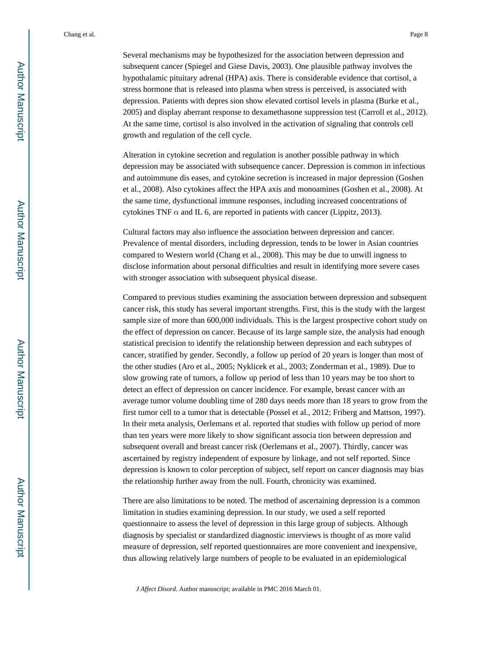Several mechanisms may be hypothesized for the association between depression and subsequent cancer (Spiegel and Giese Davis, 2003). One plausible pathway involves the hypothalamic pituitary adrenal (HPA) axis. There is considerable evidence that cortisol, a stress hormone that is released into plasma when stress is perceived, is associated with depression. Patients with depres sion show elevated cortisol levels in plasma (Burke et al., 2005) and display aberrant response to dexamethasone suppression test (Carroll et al., 2012). At the same time, cortisol is also involved in the activation of signaling that controls cell growth and regulation of the cell cycle.

Alteration in cytokine secretion and regulation is another possible pathway in which depression may be associated with subsequence cancer. Depression is common in infectious and autoimmune dis eases, and cytokine secretion is increased in major depression (Goshen et al., 2008). Also cytokines affect the HPA axis and monoamines (Goshen et al., 2008). At the same time, dysfunctional immune responses, including increased concentrations of cytokines TNF α and IL 6, are reported in patients with cancer (Lippitz, 2013).

Cultural factors may also influence the association between depression and cancer. Prevalence of mental disorders, including depression, tends to be lower in Asian countries compared to Western world (Chang et al., 2008). This may be due to unwill ingness to disclose information about personal difficulties and result in identifying more severe cases with stronger association with subsequent physical disease.

Compared to previous studies examining the association between depression and subsequent cancer risk, this study has several important strengths. First, this is the study with the largest sample size of more than 600,000 individuals. This is the largest prospective cohort study on the effect of depression on cancer. Because of its large sample size, the analysis had enough statistical precision to identify the relationship between depression and each subtypes of cancer, stratified by gender. Secondly, a follow up period of 20 years is longer than most of the other studies (Aro et al., 2005; Nyklicek et al., 2003; Zonderman et al., 1989). Due to slow growing rate of tumors, a follow up period of less than 10 years may be too short to detect an effect of depression on cancer incidence. For example, breast cancer with an average tumor volume doubling time of 280 days needs more than 18 years to grow from the first tumor cell to a tumor that is detectable (Possel et al., 2012; Friberg and Mattson, 1997). In their meta analysis, Oerlemans et al. reported that studies with follow up period of more than ten years were more likely to show significant associa tion between depression and subsequent overall and breast cancer risk (Oerlemans et al., 2007). Thirdly, cancer was ascertained by registry independent of exposure by linkage, and not self reported. Since depression is known to color perception of subject, self report on cancer diagnosis may bias the relationship further away from the null. Fourth, chronicity was examined.

There are also limitations to be noted. The method of ascertaining depression is a common limitation in studies examining depression. In our study, we used a self reported questionnaire to assess the level of depression in this large group of subjects. Although diagnosis by specialist or standardized diagnostic interviews is thought of as more valid measure of depression, self reported questionnaires are more convenient and inexpensive, thus allowing relatively large numbers of people to be evaluated in an epidemiological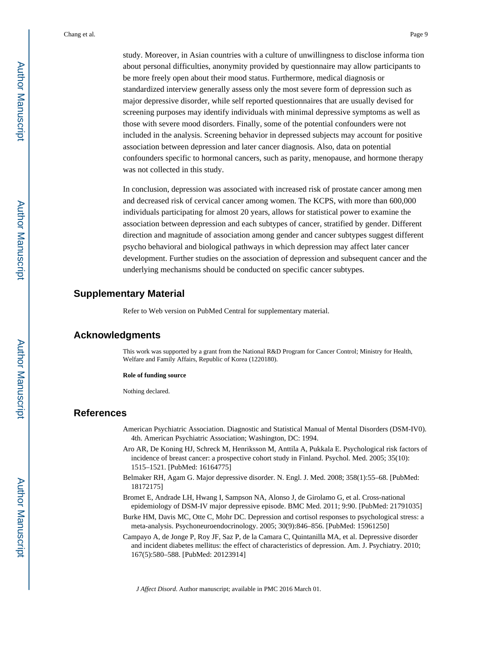study. Moreover, in Asian countries with a culture of unwillingness to disclose informa tion about personal difficulties, anonymity provided by questionnaire may allow participants to be more freely open about their mood status. Furthermore, medical diagnosis or standardized interview generally assess only the most severe form of depression such as major depressive disorder, while self reported questionnaires that are usually devised for screening purposes may identify individuals with minimal depressive symptoms as well as those with severe mood disorders. Finally, some of the potential confounders were not included in the analysis. Screening behavior in depressed subjects may account for positive association between depression and later cancer diagnosis. Also, data on potential confounders specific to hormonal cancers, such as parity, menopause, and hormone therapy was not collected in this study.

In conclusion, depression was associated with increased risk of prostate cancer among men and decreased risk of cervical cancer among women. The KCPS, with more than 600,000 individuals participating for almost 20 years, allows for statistical power to examine the association between depression and each subtypes of cancer, stratified by gender. Different direction and magnitude of association among gender and cancer subtypes suggest different psycho behavioral and biological pathways in which depression may affect later cancer development. Further studies on the association of depression and subsequent cancer and the underlying mechanisms should be conducted on specific cancer subtypes.

#### **Supplementary Material**

Refer to Web version on PubMed Central for supplementary material.

# **Acknowledgments**

This work was supported by a grant from the National R&D Program for Cancer Control; Ministry for Health, Welfare and Family Affairs, Republic of Korea (1220180).

#### **Role of funding source**

Nothing declared.

#### **References**

- American Psychiatric Association. Diagnostic and Statistical Manual of Mental Disorders (DSM-IV0). 4th. American Psychiatric Association; Washington, DC: 1994.
- Aro AR, De Koning HJ, Schreck M, Henriksson M, Anttila A, Pukkala E. Psychological risk factors of incidence of breast cancer: a prospective cohort study in Finland. Psychol. Med. 2005; 35(10): 1515–1521. [PubMed: 16164775]
- Belmaker RH, Agam G. Major depressive disorder. N. Engl. J. Med. 2008; 358(1):55–68. [PubMed: 18172175]
- Bromet E, Andrade LH, Hwang I, Sampson NA, Alonso J, de Girolamo G, et al. Cross-national epidemiology of DSM-IV major depressive episode. BMC Med. 2011; 9:90. [PubMed: 21791035]
- Burke HM, Davis MC, Otte C, Mohr DC. Depression and cortisol responses to psychological stress: a meta-analysis. Psychoneuroendocrinology. 2005; 30(9):846–856. [PubMed: 15961250]
- Campayo A, de Jonge P, Roy JF, Saz P, de la Camara C, Quintanilla MA, et al. Depressive disorder and incident diabetes mellitus: the effect of characteristics of depression. Am. J. Psychiatry. 2010; 167(5):580–588. [PubMed: 20123914]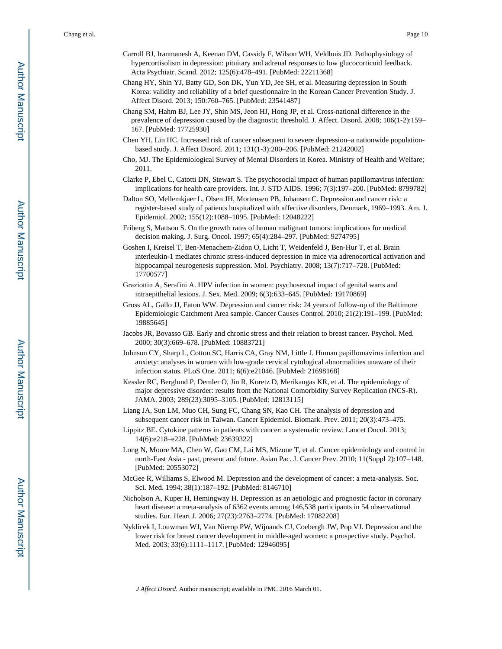- Carroll BJ, Iranmanesh A, Keenan DM, Cassidy F, Wilson WH, Veldhuis JD. Pathophysiology of hypercortisolism in depression: pituitary and adrenal responses to low glucocorticoid feedback. Acta Psychiatr. Scand. 2012; 125(6):478–491. [PubMed: 22211368]
- Chang HY, Shin YJ, Batty GD, Son DK, Yun YD, Jee SH, et al. Measuring depression in South Korea: validity and reliability of a brief questionnaire in the Korean Cancer Prevention Study. J. Affect Disord. 2013; 150:760–765. [PubMed: 23541487]
- Chang SM, Hahm BJ, Lee JY, Shin MS, Jeon HJ, Hong JP, et al. Cross-national difference in the prevalence of depression caused by the diagnostic threshold. J. Affect. Disord. 2008; 106(1-2):159– 167. [PubMed: 17725930]
- Chen YH, Lin HC. Increased risk of cancer subsequent to severe depression–a nationwide populationbased study. J. Affect Disord. 2011; 131(1-3):200–206. [PubMed: 21242002]
- Cho, MJ. The Epidemiological Survey of Mental Disorders in Korea. Ministry of Health and Welfare; 2011.
- Clarke P, Ebel C, Catotti DN, Stewart S. The psychosocial impact of human papillomavirus infection: implications for health care providers. Int. J. STD AIDS. 1996; 7(3):197–200. [PubMed: 8799782]
- Dalton SO, Mellemkjaer L, Olsen JH, Mortensen PB, Johansen C. Depression and cancer risk: a register-based study of patients hospitalized with affective disorders, Denmark, 1969–1993. Am. J. Epidemiol. 2002; 155(12):1088–1095. [PubMed: 12048222]
- Friberg S, Mattson S. On the growth rates of human malignant tumors: implications for medical decision making. J. Surg. Oncol. 1997; 65(4):284–297. [PubMed: 9274795]
- Goshen I, Kreisel T, Ben-Menachem-Zidon O, Licht T, Weidenfeld J, Ben-Hur T, et al. Brain interleukin-1 mediates chronic stress-induced depression in mice via adrenocortical activation and hippocampal neurogenesis suppression. Mol. Psychiatry. 2008; 13(7):717–728. [PubMed: 17700577]
- Graziottin A, Serafini A. HPV infection in women: psychosexual impact of genital warts and intraepithelial lesions. J. Sex. Med. 2009; 6(3):633–645. [PubMed: 19170869]
- Gross AL, Gallo JJ, Eaton WW. Depression and cancer risk: 24 years of follow-up of the Baltimore Epidemiologic Catchment Area sample. Cancer Causes Control. 2010; 21(2):191–199. [PubMed: 19885645]
- Jacobs JR, Bovasso GB. Early and chronic stress and their relation to breast cancer. Psychol. Med. 2000; 30(3):669–678. [PubMed: 10883721]
- Johnson CY, Sharp L, Cotton SC, Harris CA, Gray NM, Little J. Human papillomavirus infection and anxiety: analyses in women with low-grade cervical cytological abnormalities unaware of their infection status. PLoS One. 2011; 6(6):e21046. [PubMed: 21698168]
- Kessler RC, Berglund P, Demler O, Jin R, Koretz D, Merikangas KR, et al. The epidemiology of major depressive disorder: results from the National Comorbidity Survey Replication (NCS-R). JAMA. 2003; 289(23):3095–3105. [PubMed: 12813115]

Liang JA, Sun LM, Muo CH, Sung FC, Chang SN, Kao CH. The analysis of depression and subsequent cancer risk in Taiwan. Cancer Epidemiol. Biomark. Prev. 2011; 20(3):473–475.

- Lippitz BE. Cytokine patterns in patients with cancer: a systematic review. Lancet Oncol. 2013; 14(6):e218–e228. [PubMed: 23639322]
- Long N, Moore MA, Chen W, Gao CM, Lai MS, Mizoue T, et al. Cancer epidemiology and control in north-East Asia - past, present and future. Asian Pac. J. Cancer Prev. 2010; 11(Suppl 2):107–148. [PubMed: 20553072]
- McGee R, Williams S, Elwood M. Depression and the development of cancer: a meta-analysis. Soc. Sci. Med. 1994; 38(1):187–192. [PubMed: 8146710]
- Nicholson A, Kuper H, Hemingway H. Depression as an aetiologic and prognostic factor in coronary heart disease: a meta-analysis of 6362 events among 146,538 participants in 54 observational studies. Eur. Heart J. 2006; 27(23):2763–2774. [PubMed: 17082208]
- Nyklicek I, Louwman WJ, Van Nierop PW, Wijnands CJ, Coebergh JW, Pop VJ. Depression and the lower risk for breast cancer development in middle-aged women: a prospective study. Psychol. Med. 2003; 33(6):1111–1117. [PubMed: 12946095]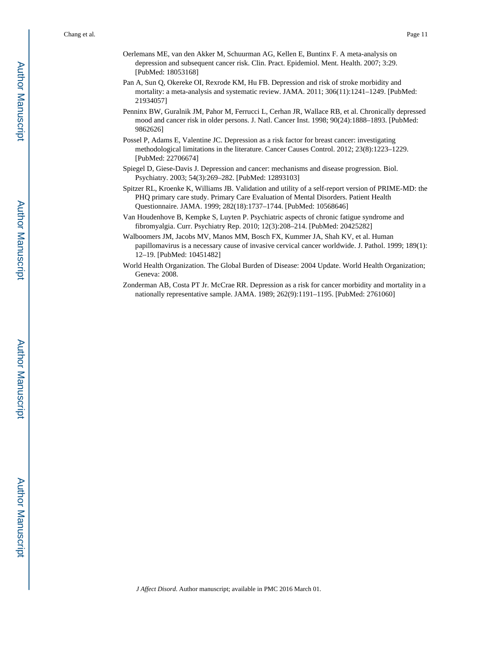- Oerlemans ME, van den Akker M, Schuurman AG, Kellen E, Buntinx F. A meta-analysis on depression and subsequent cancer risk. Clin. Pract. Epidemiol. Ment. Health. 2007; 3:29. [PubMed: 18053168]
- Pan A, Sun Q, Okereke OI, Rexrode KM, Hu FB. Depression and risk of stroke morbidity and mortality: a meta-analysis and systematic review. JAMA. 2011; 306(11):1241–1249. [PubMed: 21934057]
- Penninx BW, Guralnik JM, Pahor M, Ferrucci L, Cerhan JR, Wallace RB, et al. Chronically depressed mood and cancer risk in older persons. J. Natl. Cancer Inst. 1998; 90(24):1888–1893. [PubMed: 9862626]
- Possel P, Adams E, Valentine JC. Depression as a risk factor for breast cancer: investigating methodological limitations in the literature. Cancer Causes Control. 2012; 23(8):1223–1229. [PubMed: 22706674]
- Spiegel D, Giese-Davis J. Depression and cancer: mechanisms and disease progression. Biol. Psychiatry. 2003; 54(3):269–282. [PubMed: 12893103]
- Spitzer RL, Kroenke K, Williams JB. Validation and utility of a self-report version of PRIME-MD: the PHQ primary care study. Primary Care Evaluation of Mental Disorders. Patient Health Questionnaire. JAMA. 1999; 282(18):1737–1744. [PubMed: 10568646]
- Van Houdenhove B, Kempke S, Luyten P. Psychiatric aspects of chronic fatigue syndrome and fibromyalgia. Curr. Psychiatry Rep. 2010; 12(3):208–214. [PubMed: 20425282]
- Walboomers JM, Jacobs MV, Manos MM, Bosch FX, Kummer JA, Shah KV, et al. Human papillomavirus is a necessary cause of invasive cervical cancer worldwide. J. Pathol. 1999; 189(1): 12–19. [PubMed: 10451482]
- World Health Organization. The Global Burden of Disease: 2004 Update. World Health Organization; Geneva: 2008.
- Zonderman AB, Costa PT Jr. McCrae RR. Depression as a risk for cancer morbidity and mortality in a nationally representative sample. JAMA. 1989; 262(9):1191–1195. [PubMed: 2761060]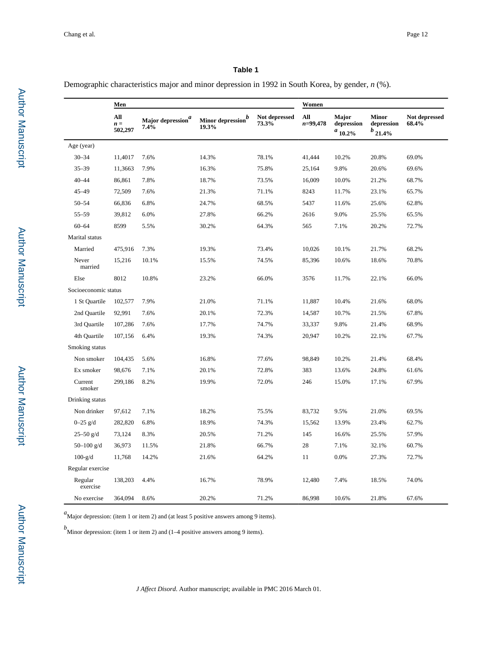Demographic characteristics major and minor depression in 1992 in South Korea, by gender, *n* (%).

|                      | Men                     |                                    |                           |                        |                     | Women                               |                                            |                        |  |
|----------------------|-------------------------|------------------------------------|---------------------------|------------------------|---------------------|-------------------------------------|--------------------------------------------|------------------------|--|
|                      | All<br>$n =$<br>502,297 | Major depression $\real^d$<br>7.4% | Minor depression<br>19.3% | Not depressed<br>73.3% | All<br>$n = 99,478$ | Major<br>depression<br>$a_{10.2\%}$ | <b>Minor</b><br>depression<br>$b_{21.4\%}$ | Not depressed<br>68.4% |  |
| Age (year)           |                         |                                    |                           |                        |                     |                                     |                                            |                        |  |
| $30 - 34$            | 11,4017                 | 7.6%                               | 14.3%                     | 78.1%                  | 41,444              | 10.2%                               | 20.8%                                      | 69.0%                  |  |
| $35 - 39$            | 11,3663                 | 7.9%                               | 16.3%                     | 75.8%                  | 25,164              | 9.8%                                | 20.6%                                      | 69.6%                  |  |
| $40 - 44$            | 86,861                  | 7.8%                               | 18.7%                     | 73.5%                  | 16,009              | 10.0%                               | 21.2%                                      | 68.7%                  |  |
| $45 - 49$            | 72,509                  | 7.6%                               | 21.3%                     | 71.1%                  | 8243                | 11.7%                               | 23.1%                                      | 65.7%                  |  |
| $50 - 54$            | 66,836                  | 6.8%                               | 24.7%                     | 68.5%                  | 5437                | 11.6%                               | 25.6%                                      | 62.8%                  |  |
| $55 - 59$            | 39,812                  | 6.0%                               | 27.8%                     | 66.2%                  | 2616                | 9.0%                                | 25.5%                                      | 65.5%                  |  |
| $60 - 64$            | 8599                    | 5.5%                               | 30.2%                     | 64.3%                  | 565                 | 7.1%                                | 20.2%                                      | 72.7%                  |  |
| Marital status       |                         |                                    |                           |                        |                     |                                     |                                            |                        |  |
| Married              | 475,916                 | 7.3%                               | 19.3%                     | 73.4%                  | 10,026              | 10.1%                               | 21.7%                                      | 68.2%                  |  |
| Never<br>married     | 15,216                  | 10.1%                              | 15.5%                     | 74.5%                  | 85,396              | 10.6%                               | 18.6%                                      | 70.8%                  |  |
| Else                 | 8012                    | 10.8%                              | 23.2%                     | 66.0%                  | 3576                | 11.7%                               | 22.1%                                      | 66.0%                  |  |
| Socioeconomic status |                         |                                    |                           |                        |                     |                                     |                                            |                        |  |
| 1 St Quartile        | 102,577                 | 7.9%                               | 21.0%                     | 71.1%                  | 11,887              | 10.4%                               | 21.6%                                      | 68.0%                  |  |
| 2nd Quartile         | 92,991                  | 7.6%                               | 20.1%                     | 72.3%                  | 14,587              | 10.7%                               | 21.5%                                      | 67.8%                  |  |
| 3rd Quartile         | 107,286                 | 7.6%                               | 17.7%                     | 74.7%                  | 33,337              | 9.8%                                | 21.4%                                      | 68.9%                  |  |
| 4th Quartile         | 107,156                 | 6.4%                               | 19.3%                     | 74.3%                  | 20,947              | 10.2%                               | 22.1%                                      | 67.7%                  |  |
| Smoking status       |                         |                                    |                           |                        |                     |                                     |                                            |                        |  |
| Non smoker           | 104,435                 | 5.6%                               | 16.8%                     | 77.6%                  | 98,849              | 10.2%                               | 21.4%                                      | 68.4%                  |  |
| Ex smoker            | 98,676                  | 7.1%                               | 20.1%                     | 72.8%                  | 383                 | 13.6%                               | 24.8%                                      | 61.6%                  |  |
| Current<br>smoker    | 299,186                 | 8.2%                               | 19.9%                     | 72.0%                  | 246                 | 15.0%                               | 17.1%                                      | 67.9%                  |  |
| Drinking status      |                         |                                    |                           |                        |                     |                                     |                                            |                        |  |
| Non drinker          | 97,612                  | 7.1%                               | 18.2%                     | 75.5%                  | 83,732              | 9.5%                                | 21.0%                                      | 69.5%                  |  |
| $0 - 25$ g/d         | 282,820                 | 6.8%                               | 18.9%                     | 74.3%                  | 15,562              | 13.9%                               | 23.4%                                      | 62.7%                  |  |
| $25 - 50$ g/d        | 73,124                  | 8.3%                               | 20.5%                     | 71.2%                  | 145                 | 16.6%                               | 25.5%                                      | 57.9%                  |  |
| 50 $-100$ g/d        | 36,973                  | 11.5%                              | 21.8%                     | 66.7%                  | 28                  | 7.1%                                | 32.1%                                      | 60.7%                  |  |
| $100-g/d$            | 11,768                  | 14.2%                              | 21.6%                     | 64.2%                  | 11                  | 0.0%                                | 27.3%                                      | 72.7%                  |  |
| Regular exercise     |                         |                                    |                           |                        |                     |                                     |                                            |                        |  |
| Regular<br>exercise  | 138,203                 | 4.4%                               | 16.7%                     | 78.9%                  | 12,480              | 7.4%                                | 18.5%                                      | 74.0%                  |  |
| No exercise          | 364,094                 | 8.6%                               | 20.2%                     | 71.2%                  | 86,998              | 10.6%                               | 21.8%                                      | 67.6%                  |  |

*a*Major depression: (item 1 or item 2) and (at least 5 positive answers among 9 items).

 $b$ Minor depression: (item 1 or item 2) and (1–4 positive answers among 9 items).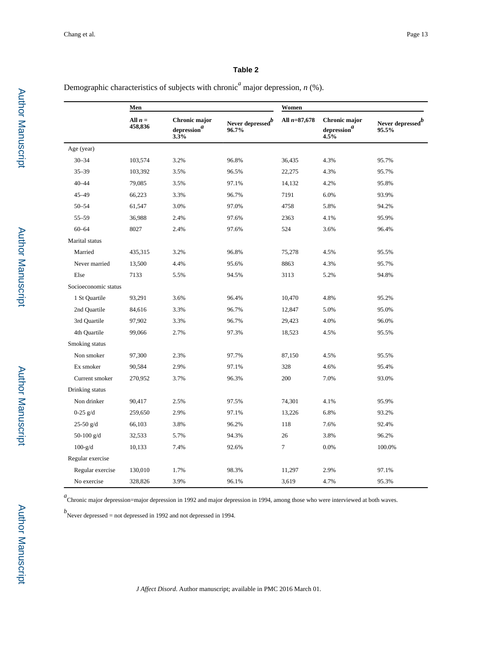Demographic characteristics of subjects with chronic<sup>*a*</sup> major depression, *n* (%).

|                      | Men                  |                                                |                                       | Women          |                                                |                                       |  |  |
|----------------------|----------------------|------------------------------------------------|---------------------------------------|----------------|------------------------------------------------|---------------------------------------|--|--|
|                      | All $n =$<br>458,836 | Chronic major<br>$\mbox{depression}^a$<br>3.3% | Never depressed <sup>b</sup><br>96.7% | All $n=87,678$ | Chronic major<br>$\mbox{depression}^a$<br>4.5% | Never depressed <sup>b</sup><br>95.5% |  |  |
| Age (year)           |                      |                                                |                                       |                |                                                |                                       |  |  |
| $30 - 34$            | 103,574              | 3.2%                                           | 96.8%                                 | 36,435         | 4.3%                                           | 95.7%                                 |  |  |
| $35 - 39$            | 103,392              | 3.5%                                           | 96.5%                                 | 22,275         | 4.3%                                           | 95.7%                                 |  |  |
| $40 - 44$            | 79,085               | 3.5%                                           | 97.1%                                 | 14,132         | 4.2%                                           | 95.8%                                 |  |  |
| $45 - 49$            | 66,223               | 3.3%                                           | 96.7%                                 | 7191           | 6.0%                                           | 93.9%                                 |  |  |
| $50 - 54$            | 61,547               | 3.0%                                           | 97.0%                                 | 4758           | 5.8%                                           | 94.2%                                 |  |  |
| $55 - 59$            | 36,988               | 2.4%                                           | 97.6%                                 | 2363           | 4.1%                                           | 95.9%                                 |  |  |
| $60 - 64$            | 8027                 | 2.4%                                           | 97.6%                                 | 524            | 3.6%                                           | 96.4%                                 |  |  |
| Marital status       |                      |                                                |                                       |                |                                                |                                       |  |  |
| Married              | 435,315              | 3.2%                                           | 96.8%                                 | 75,278         | 4.5%                                           | 95.5%                                 |  |  |
| Never married        | 13,500               | 4.4%                                           | 95.6%                                 | 8863           | 4.3%                                           | 95.7%                                 |  |  |
| Else                 | 7133                 | 5.5%                                           | 94.5%                                 | 3113           | 5.2%                                           | 94.8%                                 |  |  |
| Socioeconomic status |                      |                                                |                                       |                |                                                |                                       |  |  |
| 1 St Quartile        | 93,291               | 3.6%                                           | 96.4%                                 | 10,470         | 4.8%                                           | 95.2%                                 |  |  |
| 2nd Quartile         | 84,616               | 3.3%                                           | 96.7%                                 | 12,847         | 5.0%                                           | 95.0%                                 |  |  |
| 3rd Quartile         | 97,902               | 3.3%                                           | 96.7%                                 | 29,423         | 4.0%                                           | 96.0%                                 |  |  |
| 4th Quartile         | 99,066               | 2.7%                                           | 97.3%                                 | 18,523         | 4.5%                                           | 95.5%                                 |  |  |
| Smoking status       |                      |                                                |                                       |                |                                                |                                       |  |  |
| Non smoker           | 97,300               | 2.3%                                           | 97.7%                                 | 87,150         | 4.5%                                           | 95.5%                                 |  |  |
| Ex smoker            | 90,584               | 2.9%                                           | 97.1%                                 | 328            | 4.6%                                           | 95.4%                                 |  |  |
| Current smoker       | 270,952              | 3.7%                                           | 96.3%                                 | 200            | 7.0%                                           | 93.0%                                 |  |  |
| Drinking status      |                      |                                                |                                       |                |                                                |                                       |  |  |
| Non drinker          | 90,417               | 2.5%                                           | 97.5%                                 | 74,301         | 4.1%                                           | 95.9%                                 |  |  |
| $0-25$ g/d           | 259,650              | 2.9%                                           | 97.1%                                 | 13,226         | 6.8%                                           | 93.2%                                 |  |  |
| $25-50$ g/d          | 66,103               | 3.8%                                           | 96.2%                                 | 118            | 7.6%                                           | 92.4%                                 |  |  |
| 50-100 $g/d$         | 32,533               | 5.7%                                           | 94.3%                                 | 26             | 3.8%                                           | 96.2%                                 |  |  |
| $100-g/d$            | 10,133               | 7.4%                                           | 92.6%                                 | $\overline{7}$ | 0.0%                                           | 100.0%                                |  |  |
| Regular exercise     |                      |                                                |                                       |                |                                                |                                       |  |  |
| Regular exercise     | 130,010              | 1.7%                                           | 98.3%                                 | 11,297         | 2.9%                                           | 97.1%                                 |  |  |
| No exercise          | 328,826              | 3.9%                                           | 96.1%                                 | 3,619          | 4.7%                                           | 95.3%                                 |  |  |

<sup>a</sup> Chronic major depression=major depression in 1992 and major depression in 1994, among those who were interviewed at both waves.

*b*<br>
Never depressed = not depressed in 1992 and not depressed in 1994.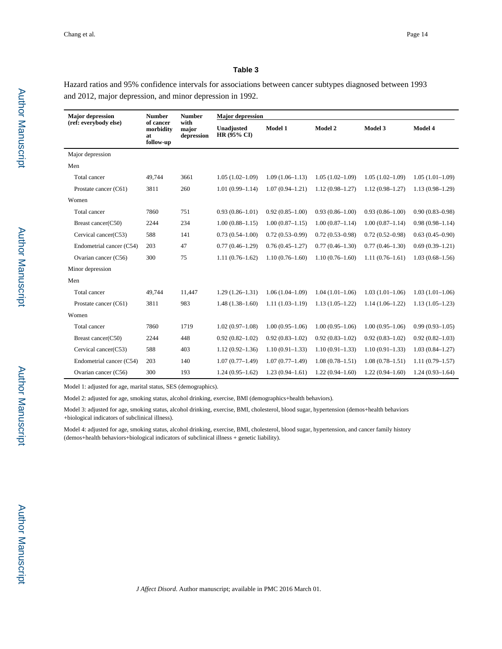Hazard ratios and 95% confidence intervals for associations between cancer subtypes diagnosed between 1993 and 2012, major depression, and minor depression in 1992.

| <b>Major depression</b>  | <b>Number</b><br>of cancer<br>morbidity<br>at<br>follow-up | <b>Number</b><br>with<br>major<br>depression | <b>Major</b> depression   |                     |                     |                     |                     |  |
|--------------------------|------------------------------------------------------------|----------------------------------------------|---------------------------|---------------------|---------------------|---------------------|---------------------|--|
| (ref: everybody else)    |                                                            |                                              | Unadjusted<br>HR (95% CI) | Model 1             | Model 2             | Model 3             | Model 4             |  |
| Major depression         |                                                            |                                              |                           |                     |                     |                     |                     |  |
| Men                      |                                                            |                                              |                           |                     |                     |                     |                     |  |
| Total cancer             | 49,744                                                     | 3661                                         | $1.05(1.02 - 1.09)$       | $1.09(1.06 - 1.13)$ | $1.05(1.02 - 1.09)$ | $1.05(1.02 - 1.09)$ | $1.05(1.01-1.09)$   |  |
| Prostate cancer (C61)    | 3811                                                       | 260                                          | $1.01(0.99 - 1.14)$       | $1.07(0.94 - 1.21)$ | $1.12(0.98 - 1.27)$ | $1.12(0.98 - 1.27)$ | $1.13(0.98-1.29)$   |  |
| Women                    |                                                            |                                              |                           |                     |                     |                     |                     |  |
| Total cancer             | 7860                                                       | 751                                          | $0.93(0.86 - 1.01)$       | $0.92(0.85 - 1.00)$ | $0.93(0.86 - 1.00)$ | $0.93(0.86 - 1.00)$ | $0.90(0.83 - 0.98)$ |  |
| Breast cancer(C50)       | 2244                                                       | 234                                          | $1.00(0.88 - 1.15)$       | $1.00(0.87-1.15)$   | $1.00(0.87 - 1.14)$ | $1.00(0.87 - 1.14)$ | $0.98(0.98 - 1.14)$ |  |
| Cervical cancer(C53)     | 588                                                        | 141                                          | $0.73(0.54 - 1.00)$       | $0.72(0.53 - 0.99)$ | $0.72(0.53 - 0.98)$ | $0.72(0.52 - 0.98)$ | $0.63(0.45-0.90)$   |  |
| Endometrial cancer (C54) | 203                                                        | 47                                           | $0.77(0.46 - 1.29)$       | $0.76(0.45 - 1.27)$ | $0.77(0.46 - 1.30)$ | $0.77(0.46 - 1.30)$ | $0.69(0.39-1.21)$   |  |
| Ovarian cancer (C56)     | 300                                                        | 75                                           | $1.11(0.76 - 1.62)$       | $1.10(0.76 - 1.60)$ | $1.10(0.76 - 1.60)$ | $1.11(0.76 - 1.61)$ | $1.03(0.68 - 1.56)$ |  |
| Minor depression         |                                                            |                                              |                           |                     |                     |                     |                     |  |
| Men                      |                                                            |                                              |                           |                     |                     |                     |                     |  |
| Total cancer             | 49,744                                                     | 11,447                                       | $1.29(1.26 - 1.31)$       | $1.06(1.04-1.09)$   | $1.04(1.01-1.06)$   | $1.03(1.01-1.06)$   | $1.03(1.01-1.06)$   |  |
| Prostate cancer (C61)    | 3811                                                       | 983                                          | $1.48(1.38-1.60)$         | $1.11(1.03-1.19)$   | $1.13(1.05-1.22)$   | $1.14(1.06-1.22)$   | $1.13(1.05-1.23)$   |  |
| Women                    |                                                            |                                              |                           |                     |                     |                     |                     |  |
| Total cancer             | 7860                                                       | 1719                                         | $1.02(0.97-1.08)$         | $1.00(0.95-1.06)$   | $1.00(0.95-1.06)$   | $1.00(0.95-1.06)$   | $0.99(0.93 - 1.05)$ |  |
| Breast cancer(C50)       | 2244                                                       | 448                                          | $0.92(0.82 - 1.02)$       | $0.92(0.83 - 1.02)$ | $0.92(0.83 - 1.02)$ | $0.92(0.83 - 1.02)$ | $0.92(0.82 - 1.03)$ |  |
| Cervical cancer(C53)     | 588                                                        | 403                                          | $1.12(0.92 - 1.36)$       | $1.10(0.91 - 1.33)$ | $1.10(0.91 - 1.33)$ | $1.10(0.91 - 1.33)$ | $1.03(0.84 - 1.27)$ |  |
| Endometrial cancer (C54) | 203                                                        | 140                                          | $1.07(0.77-1.49)$         | $1.07(0.77-1.49)$   | $1.08(0.78 - 1.51)$ | $1.08(0.78 - 1.51)$ | $1.11(0.79-1.57)$   |  |
| Ovarian cancer (C56)     | 300                                                        | 193                                          | $1.24(0.95-1.62)$         | $1.23(0.94 - 1.61)$ | $1.22(0.94 - 1.60)$ | $1.22(0.94 - 1.60)$ | $1.24(0.93 - 1.64)$ |  |

Model 1: adjusted for age, marital status, SES (demographics).

Model 2: adjusted for age, smoking status, alcohol drinking, exercise, BMl (demographics+health behaviors).

Model 3: adjusted for age, smoking status, alcohol drinking, exercise, BMI, cholesterol, blood sugar, hypertension (demos+health behaviors +biological indicators of subclinical illness).

Model 4: adjusted for age, smoking status, alcohol drinking, exercise, BMI, cholesterol, blood sugar, hypertension, and cancer family history (demos+health behaviors+biological indicators of subclinical illness + genetic liability).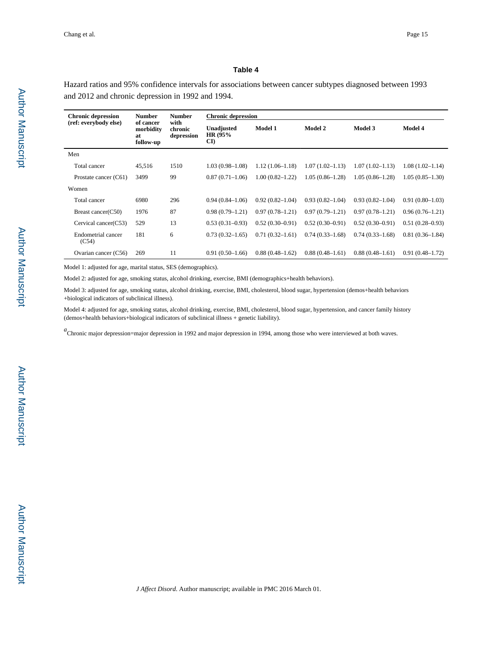Hazard ratios and 95% confidence intervals for associations between cancer subtypes diagnosed between 1993 and 2012 and chronic depression in 1992 and 1994.

| <b>Chronic depression</b>   | <b>Number</b><br>of cancer<br>morbidity<br>at<br>follow-up | <b>Number</b><br>with<br>chronic<br>depression | <b>Chronic depression</b>                        |                     |                     |                     |                     |  |
|-----------------------------|------------------------------------------------------------|------------------------------------------------|--------------------------------------------------|---------------------|---------------------|---------------------|---------------------|--|
| (ref: everybody else)       |                                                            |                                                | Unadjusted<br>HR (95%)<br>$\mathbf{C}\mathbf{D}$ | Model 1             | Model 2             | Model 3             | <b>Model 4</b>      |  |
| Men                         |                                                            |                                                |                                                  |                     |                     |                     |                     |  |
| Total cancer                | 45.516                                                     | 1510                                           | $1.03(0.98 - 1.08)$                              | $1.12(1.06-1.18)$   | $1.07(1.02 - 1.13)$ | $1.07(1.02 - 1.13)$ | $1.08(1.02 - 1.14)$ |  |
| Prostate cancer (C61)       | 3499                                                       | 99                                             | $0.87(0.71-1.06)$                                | $1.00(0.82 - 1.22)$ | $1.05(0.86 - 1.28)$ | $1.05(0.86 - 1.28)$ | $1.05(0.85-1.30)$   |  |
| Women                       |                                                            |                                                |                                                  |                     |                     |                     |                     |  |
| Total cancer                | 6980                                                       | 296                                            | $0.94(0.84 - 1.06)$                              | $0.92(0.82 - 1.04)$ | $0.93(0.82 - 1.04)$ | $0.93(0.82 - 1.04)$ | $0.91(0.80-1.03)$   |  |
| Breast cancer(C50)          | 1976                                                       | 87                                             | $0.98(0.79-1.21)$                                | $0.97(0.78-1.21)$   | $0.97(0.79-1.21)$   | $0.97(0.78-1.21)$   | $0.96(0.76 - 1.21)$ |  |
| Cervical cancer(C53)        | 529                                                        | 13                                             | $0.53(0.31-0.93)$                                | $0.52(0.30-0.91)$   | $0.52(0.30-0.91)$   | $0.52(0.30-0.91)$   | $0.51(0.28 - 0.93)$ |  |
| Endometrial cancer<br>(C54) | 181                                                        | 6                                              | $0.73(0.32 - 1.65)$                              | $0.71(0.32 - 1.61)$ | $0.74(0.33 - 1.68)$ | $0.74(0.33 - 1.68)$ | $0.81(0.36-1.84)$   |  |
| Ovarian cancer (C56)        | 269                                                        | 11                                             | $0.91(0.50-1.66)$                                | $0.88(0.48-1.62)$   | $0.88(0.48-1.61)$   | $0.88(0.48-1.61)$   | $0.91(0.48 - 1.72)$ |  |

Model 1: adjusted for age, marital status, SES (demographics).

Model 2: adjusted for age, smoking status, alcohol drinking, exercise, BMI (demographics+health behaviors).

Model 3: adjusted for age, smoking status, alcohol drinking, exercise, BMI, cholesterol, blood sugar, hypertension (demos+health behaviors +biological indicators of subclinical illness).

Model 4: adjusted for age, smoking status, alcohol drinking, exercise, BMI, cholesterol, blood sugar, hypertension, and cancer family history (demos+health behaviors+biological indicators of subclinical illness + genetic liability).

<sup>*a*</sup> Chronic major depression=major depression in 1992 and major depression in 1994, among those who were interviewed at both waves.

Author Manuscript

Author Manuscript